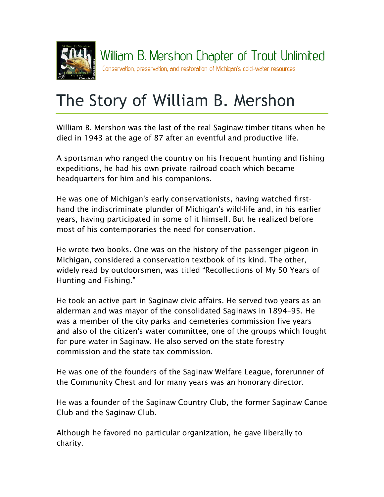

## The Story of William B. Mershon

William B. Mershon was the last of the real Saginaw timber titans when he died in 1943 at the age of 87 after an eventful and productive life.

A sportsman who ranged the country on his frequent hunting and fishing expeditions, he had his own private railroad coach which became headquarters for him and his companions.

He was one of Michigan's early conservationists, having watched firsthand the indiscriminate plunder of Michigan's wild-life and, in his earlier years, having participated in some of it himself. But he realized before most of his contemporaries the need for conservation.

He wrote two books. One was on the history of the passenger pigeon in Michigan, considered a conservation textbook of its kind. The other, widely read by outdoorsmen, was titled "Recollections of My 50 Years of Hunting and Fishing."

He took an active part in Saginaw civic affairs. He served two years as an alderman and was mayor of the consolidated Saginaws in 1894–95. He was a member of the city parks and cemeteries commission five years and also of the citizen's water committee, one of the groups which fought for pure water in Saginaw. He also served on the state forestry commission and the state tax commission.

He was one of the founders of the Saginaw Welfare League, forerunner of the Community Chest and for many years was an honorary director.

He was a founder of the Saginaw Country Club, the former Saginaw Canoe Club and the Saginaw Club.

Although he favored no particular organization, he gave liberally to charity.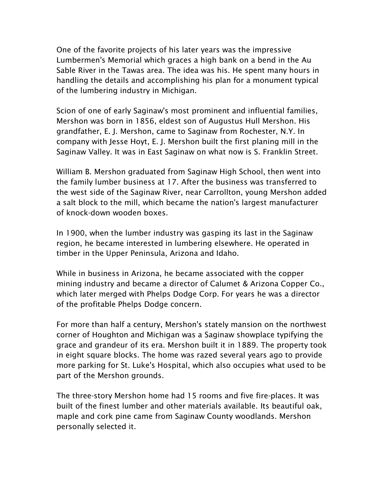One of the favorite projects of his later years was the impressive Lumbermen's Memorial which graces a high bank on a bend in the Au Sable River in the Tawas area. The idea was his. He spent many hours in handling the details and accomplishing his plan for a monument typical of the lumbering industry in Michigan.

Scion of one of early Saginaw's most prominent and influential families, Mershon was born in 1856, eldest son of Augustus Hull Mershon. His grandfather, E. J. Mershon, came to Saginaw from Rochester, N.Y. In company with Jesse Hoyt, E. J. Mershon built the first planing mill in the Saginaw Valley. It was in East Saginaw on what now is S. Franklin Street.

William B. Mershon graduated from Saginaw High School, then went into the family lumber business at 17. After the business was transferred to the west side of the Saginaw River, near Carrollton, young Mershon added a salt block to the mill, which became the nation's largest manufacturer of knock-down wooden boxes.

In 1900, when the lumber industry was gasping its last in the Saginaw region, he became interested in lumbering elsewhere. He operated in timber in the Upper Peninsula, Arizona and Idaho.

While in business in Arizona, he became associated with the copper mining industry and became a director of Calumet & Arizona Copper Co., which later merged with Phelps Dodge Corp. For years he was a director of the profitable Phelps Dodge concern.

For more than half a century, Mershon's stately mansion on the northwest corner of Houghton and Michigan was a Saginaw showplace typifying the grace and grandeur of its era. Mershon built it in 1889. The property took in eight square blocks. The home was razed several years ago to provide more parking for St. Luke's Hospital, which also occupies what used to be part of the Mershon grounds.

The three-story Mershon home had 15 rooms and five fire-places. It was built of the finest lumber and other materials available. Its beautiful oak, maple and cork pine came from Saginaw County woodlands. Mershon personally selected it.